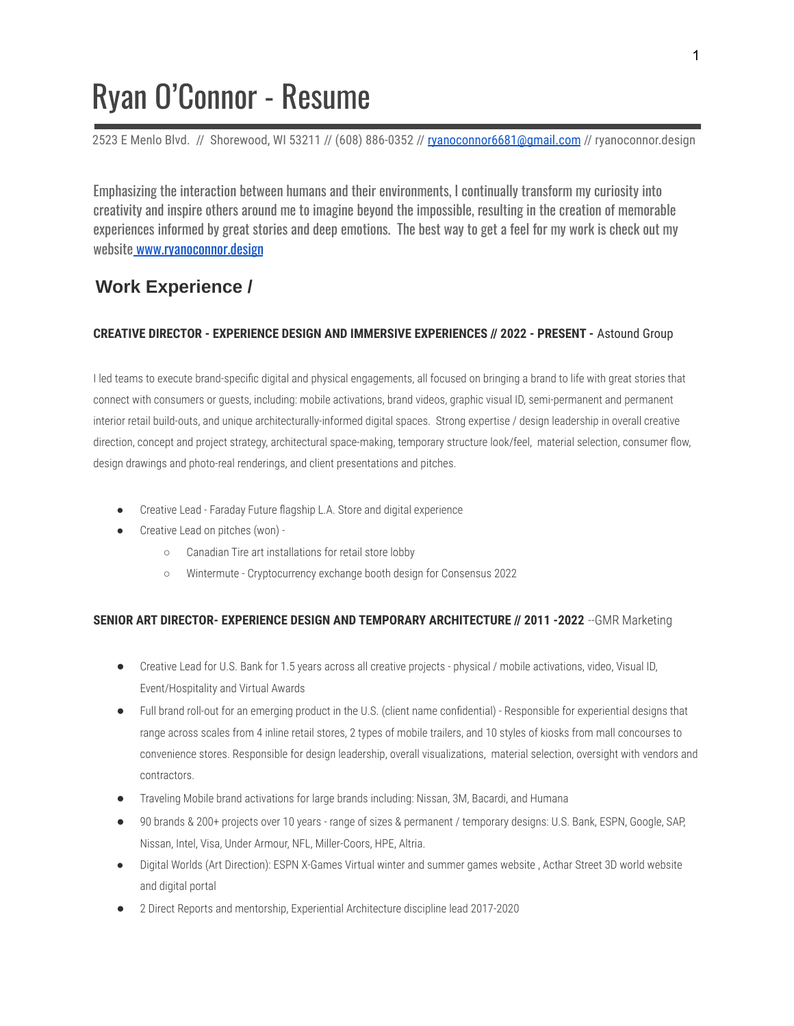# Ryan O'Connor - Resume

2523 E Menlo Blvd. // Shorewood, WI 53211 // (608) 886-0352 // [ryanoconnor6681@gmail.com](mailto:ryanoconnor6681@gmail.com) // ryanoconnor.design

Emphasizing the interaction between humans and their environments, I continually transform my curiosity into creativity and inspire others around me to imagine beyond the impossible, resulting in the creation of memorable experiences informed by great stories and deep emotions. The best way to get a feel for my work is check out my website [www.ryanoconnor.design](http://www.ryanoconnor.design)

# **Work Experience /**

### **CREATIVE DIRECTOR - EXPERIENCE DESIGN AND IMMERSIVE EXPERIENCES // 2022 - PRESENT -** Astound Group

I led teams to execute brand-specific digital and physical engagements, all focused on bringing a brand to life with great stories that connect with consumers or guests, including: mobile activations, brand videos, graphic visual ID, semi-permanent and permanent interior retail build-outs, and unique architecturally-informed digital spaces. Strong expertise / design leadership in overall creative direction, concept and project strategy, architectural space-making, temporary structure look/feel, material selection, consumer flow, design drawings and photo-real renderings, and client presentations and pitches.

- Creative Lead Faraday Future flagship L.A. Store and digital experience
- Creative Lead on pitches (won) -
	- Canadian Tire art installations for retail store lobby
	- Wintermute Cryptocurrency exchange booth design for Consensus 2022

## **SENIOR ART DIRECTOR- EXPERIENCE DESIGN AND TEMPORARY ARCHITECTURE // 2011 -2022** --GMR Marketing

- Creative Lead for U.S. Bank for 1.5 years across all creative projects physical / mobile activations, video, Visual ID, Event/Hospitality and Virtual Awards
- Full brand roll-out for an emerging product in the U.S. (client name confidential) Responsible for experiential designs that range across scales from 4 inline retail stores, 2 types of mobile trailers, and 10 styles of kiosks from mall concourses to convenience stores. Responsible for design leadership, overall visualizations, material selection, oversight with vendors and contractors.
- Traveling Mobile brand activations for large brands including: Nissan, 3M, Bacardi, and Humana
- 90 brands & 200+ projects over 10 years range of sizes & permanent / temporary designs: U.S. Bank, ESPN, Google, SAP, Nissan, Intel, Visa, Under Armour, NFL, Miller-Coors, HPE, Altria.
- Digital Worlds (Art Direction): ESPN X-Games Virtual winter and summer games website, Acthar Street 3D world website and digital portal
- 2 Direct Reports and mentorship, Experiential Architecture discipline lead 2017-2020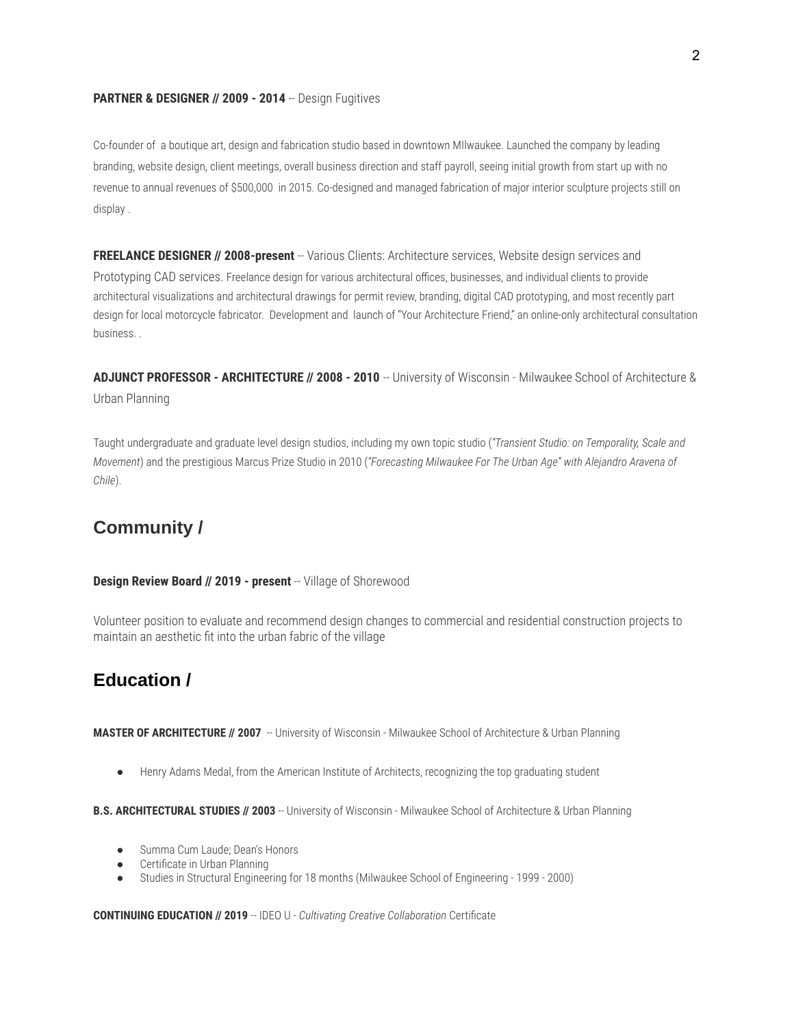#### **PARTNER & DESIGNER // 2009 - 2014** -- Design Fugitives

Co-founder of a boutique art, design and fabrication studio based in downtown MIlwaukee. Launched the company by leading branding, website design, client meetings, overall business direction and staff payroll, seeing initial growth from start up with no revenue to annual revenues of \$500,000 in 2015. Co-designed and managed fabrication of major interior sculpture projects still on display .

**FREELANCE DESIGNER // 2008-present** -- Various Clients: Architecture services, Website design services and Prototyping CAD services. Freelance design for various architectural offices, businesses, and individual clients to provide architectural visualizations and architectural drawings for permit review, branding, digital CAD prototyping, and most recently part design for local motorcycle fabricator. Development and launch of "Your Architecture Friend," an online-only architectural consultation business. .

**ADJUNCT PROFESSOR - ARCHITECTURE // 2008 - 2010** -- University of Wisconsin - Milwaukee School of Architecture & Urban Planning

Taught undergraduate and graduate level design studios, including my own topic studio (*"Transient Studio: on Temporality, Scale and Movement*) and the prestigious Marcus Prize Studio in 2010 (*"Forecasting Milwaukee For The Urban Age" with Alejandro Aravena of Chile*).

## **Community /**

#### **Design Review Board // 2019 - present** -- Village of Shorewood

Volunteer position to evaluate and recommend design changes to commercial and residential construction projects to maintain an aesthetic fit into the urban fabric of the village

# **Education /**

MASTER OF ARCHITECTURE // 2007 -- University of Wisconsin - Milwaukee School of Architecture & Urban Planning

● Henry Adams Medal, from the American Institute of Architects, recognizing the top graduating student

**B.S. ARCHITECTURAL STUDIES // 2003** -- University of Wisconsin - Milwaukee School of Architecture & Urban Planning

- Summa Cum Laude; Dean's Honors
- Certificate in Urban Planning
- Studies in Structural Engineering for 18 months (Milwaukee School of Engineering 1999 2000)

**CONTINUING EDUCATION // 2019** -- IDEO U - *Cultivating Creative Collaboration* Certificate